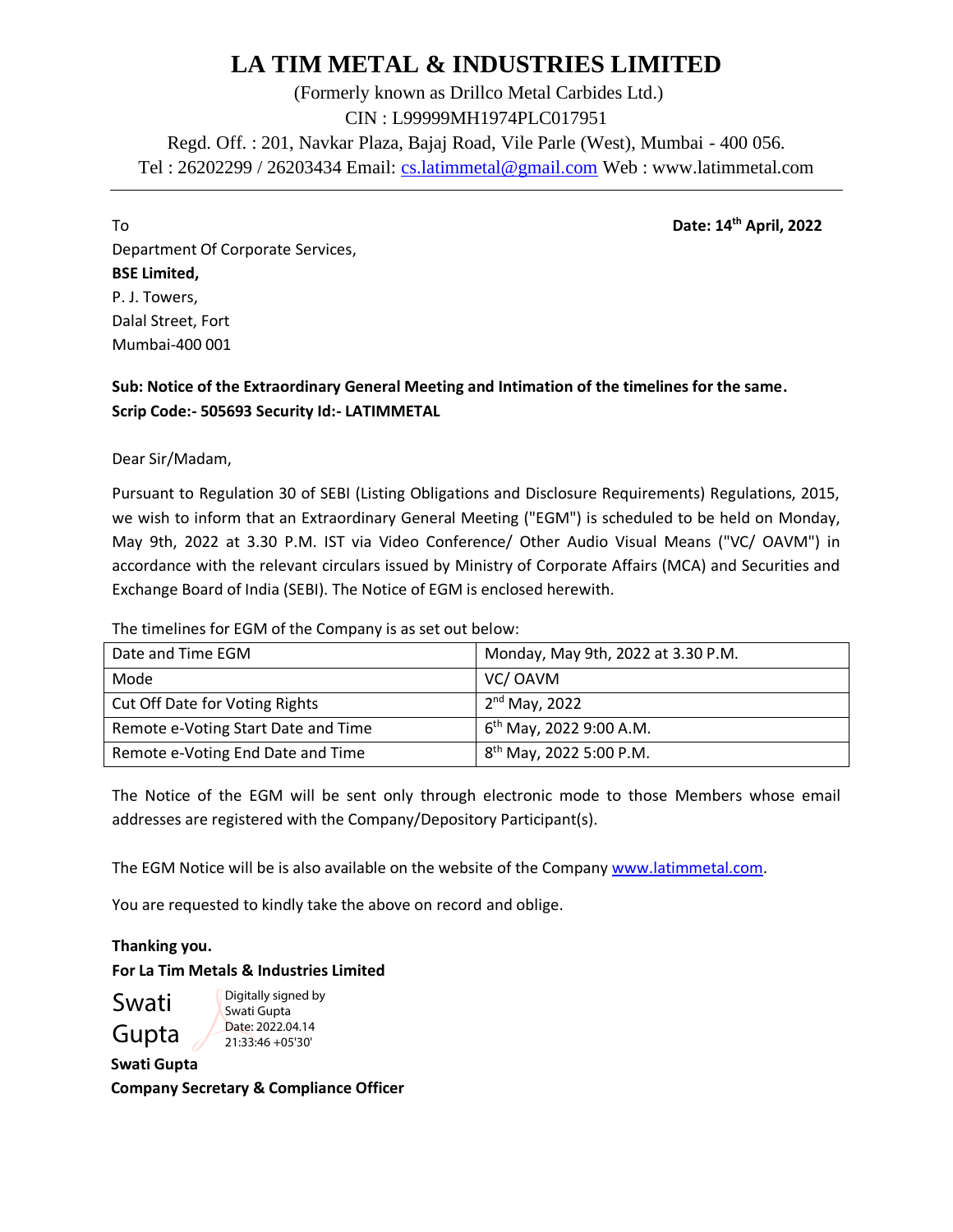# **LA TIM METAL & INDUSTRIES LIMITED**

(Formerly known as Drillco Metal Carbides Ltd.) CIN : L99999MH1974PLC017951 Regd. Off. : 201, Navkar Plaza, Bajaj Road, Vile Parle (West), Mumbai - 400 056. Tel : 26202299 / 26203434 Email: [cs.latimmetal@gmail.com](mailto:cs.latimmetal@gmail.com) Web : www.latimmetal.com

To **Date: 14th April, 2022**

Department Of Corporate Services, **BSE Limited,** P. J. Towers, Dalal Street, Fort Mumbai-400 001

**Sub: Notice of the Extraordinary General Meeting and Intimation of the timelines for the same. Scrip Code:- 505693 Security Id:- LATIMMETAL**

Dear Sir/Madam,

Pursuant to Regulation 30 of SEBI (Listing Obligations and Disclosure Requirements) Regulations, 2015, we wish to inform that an Extraordinary General Meeting ("EGM") is scheduled to be held on Monday, May 9th, 2022 at 3.30 P.M. IST via Video Conference/ Other Audio Visual Means ("VC/ OAVM") in accordance with the relevant circulars issued by Ministry of Corporate Affairs (MCA) and Securities and Exchange Board of India (SEBI). The Notice of EGM is enclosed herewith.

The timelines for EGM of the Company is as set out below:

| Date and Time EGM                   | Monday, May 9th, 2022 at 3.30 P.M.  |
|-------------------------------------|-------------------------------------|
| Mode                                | VC/OAVM                             |
| Cut Off Date for Voting Rights      | 2 <sup>nd</sup> May, 2022           |
| Remote e-Voting Start Date and Time | 6 <sup>th</sup> May, 2022 9:00 A.M. |
| Remote e-Voting End Date and Time   | 8 <sup>th</sup> May, 2022 5:00 P.M. |

The Notice of the EGM will be sent only through electronic mode to those Members whose email addresses are registered with the Company/Depository Participant(s).

The EGM Notice will be is also available on the website of the Company [www.latimmetal.com.](http://www.latimmetal.com/)

You are requested to kindly take the above on record and oblige.

**Thanking you. For La Tim Metals & Industries Limited**

Swati Gupta Digitally signed by Swati Gupta Date: 2022.04.14 21:33:46 +05'30'

**Swati Gupta Company Secretary & Compliance Officer**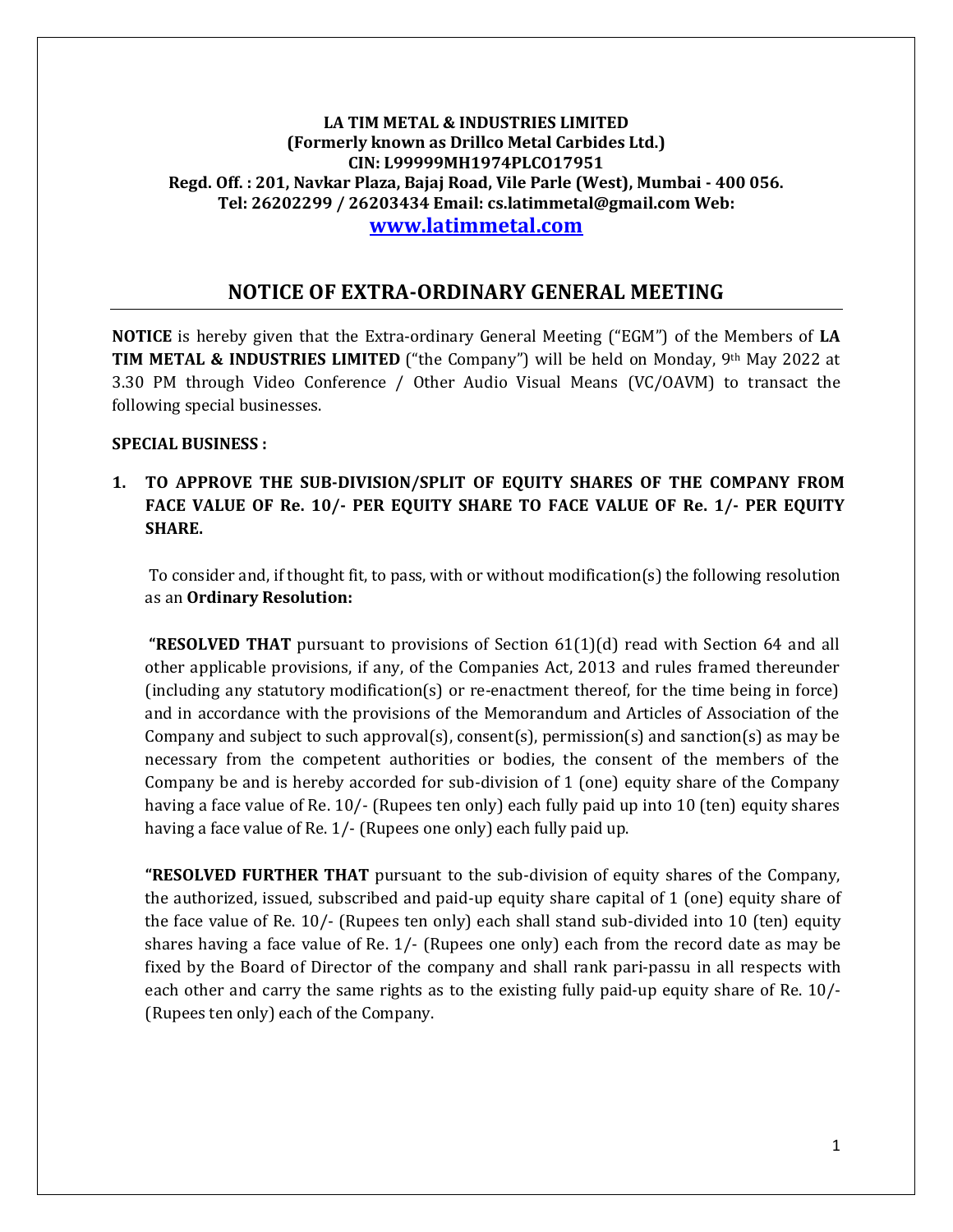#### **LA TIM METAL & INDUSTRIES LIMITED (Formerly known as Drillco Metal Carbides Ltd.) CIN: L99999MH1974PLCO17951 Regd. Off. : 201, Navkar Plaza, Bajaj Road, Vile Parle (West), Mumbai - 400 056. Tel: 26202299 / 26203434 Email: cs.latimmetal@gmail.com Web: [www.latimmetal.com](http://www.latimmetal.com/)**

# **NOTICE OF EXTRA-ORDINARY GENERAL MEETING**

**NOTICE** is hereby given that the Extra-ordinary General Meeting ("EGM") of the Members of **LA TIM METAL & INDUSTRIES LIMITED** ("the Company") will be held on Monday, 9th May 2022 at 3.30 PM through Video Conference / Other Audio Visual Means (VC/OAVM) to transact the following special businesses.

#### **SPECIAL BUSINESS :**

# **1. TO APPROVE THE SUB-DIVISION/SPLIT OF EQUITY SHARES OF THE COMPANY FROM FACE VALUE OF Re. 10/- PER EQUITY SHARE TO FACE VALUE OF Re. 1/- PER EQUITY SHARE.**

To consider and, if thought fit, to pass, with or without modification(s) the following resolution as an **Ordinary Resolution:**

**"RESOLVED THAT** pursuant to provisions of Section 61(1)(d) read with Section 64 and all other applicable provisions, if any, of the Companies Act, 2013 and rules framed thereunder (including any statutory modification(s) or re-enactment thereof, for the time being in force) and in accordance with the provisions of the Memorandum and Articles of Association of the Company and subject to such approval(s), consent(s), permission(s) and sanction(s) as may be necessary from the competent authorities or bodies, the consent of the members of the Company be and is hereby accorded for sub-division of 1 (one) equity share of the Company having a face value of Re. 10/- (Rupees ten only) each fully paid up into 10 (ten) equity shares having a face value of Re. 1/- (Rupees one only) each fully paid up.

**"RESOLVED FURTHER THAT** pursuant to the sub-division of equity shares of the Company, the authorized, issued, subscribed and paid-up equity share capital of 1 (one) equity share of the face value of Re. 10/- (Rupees ten only) each shall stand sub-divided into 10 (ten) equity shares having a face value of Re. 1/- (Rupees one only) each from the record date as may be fixed by the Board of Director of the company and shall rank pari-passu in all respects with each other and carry the same rights as to the existing fully paid-up equity share of Re. 10/- (Rupees ten only) each of the Company.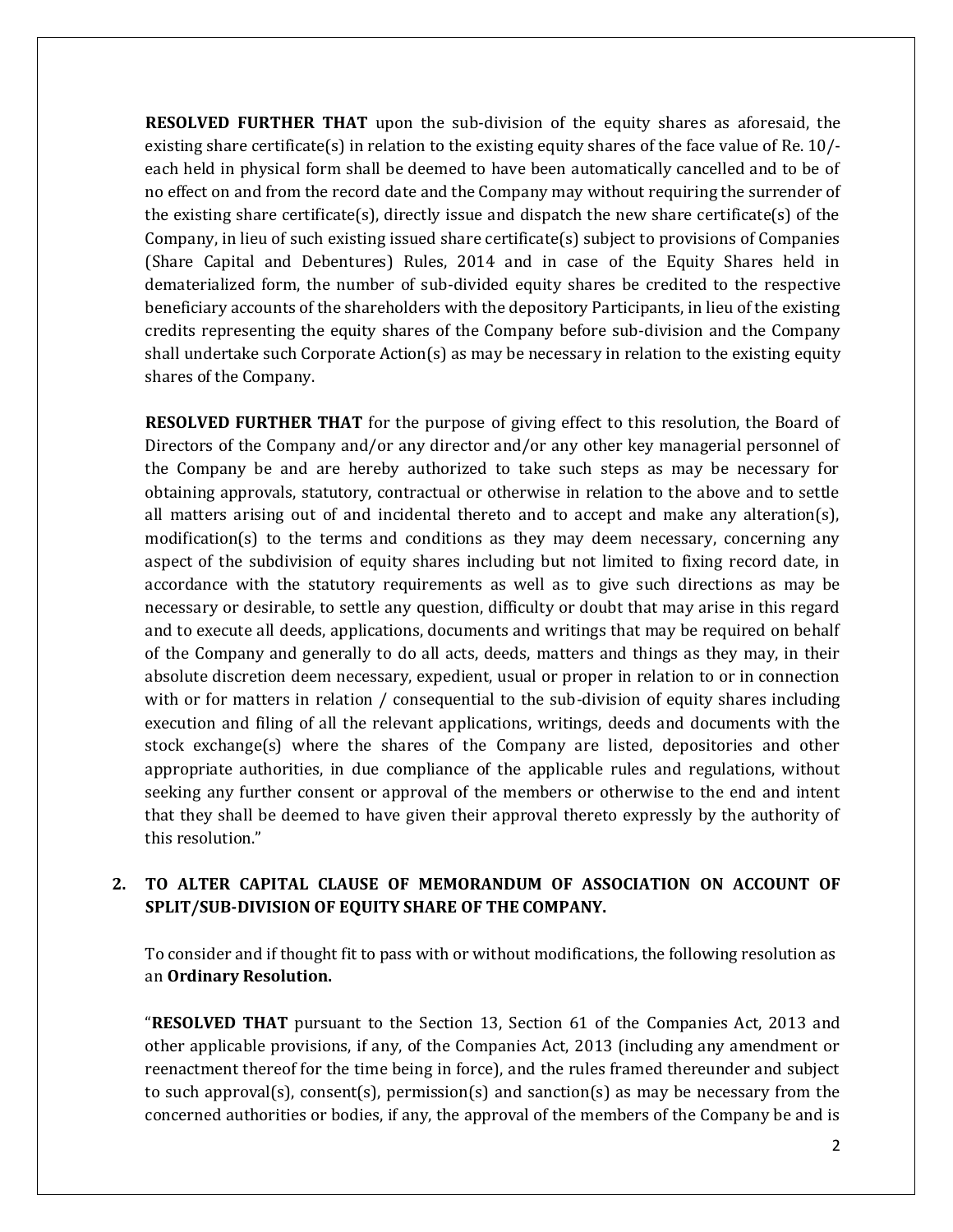**RESOLVED FURTHER THAT** upon the sub-division of the equity shares as aforesaid, the existing share certificate(s) in relation to the existing equity shares of the face value of Re. 10/ each held in physical form shall be deemed to have been automatically cancelled and to be of no effect on and from the record date and the Company may without requiring the surrender of the existing share certificate(s), directly issue and dispatch the new share certificate(s) of the Company, in lieu of such existing issued share certificate(s) subject to provisions of Companies (Share Capital and Debentures) Rules, 2014 and in case of the Equity Shares held in dematerialized form, the number of sub-divided equity shares be credited to the respective beneficiary accounts of the shareholders with the depository Participants, in lieu of the existing credits representing the equity shares of the Company before sub-division and the Company shall undertake such Corporate Action(s) as may be necessary in relation to the existing equity shares of the Company.

**RESOLVED FURTHER THAT** for the purpose of giving effect to this resolution, the Board of Directors of the Company and/or any director and/or any other key managerial personnel of the Company be and are hereby authorized to take such steps as may be necessary for obtaining approvals, statutory, contractual or otherwise in relation to the above and to settle all matters arising out of and incidental thereto and to accept and make any alteration(s), modification(s) to the terms and conditions as they may deem necessary, concerning any aspect of the subdivision of equity shares including but not limited to fixing record date, in accordance with the statutory requirements as well as to give such directions as may be necessary or desirable, to settle any question, difficulty or doubt that may arise in this regard and to execute all deeds, applications, documents and writings that may be required on behalf of the Company and generally to do all acts, deeds, matters and things as they may, in their absolute discretion deem necessary, expedient, usual or proper in relation to or in connection with or for matters in relation / consequential to the sub-division of equity shares including execution and filing of all the relevant applications, writings, deeds and documents with the stock exchange(s) where the shares of the Company are listed, depositories and other appropriate authorities, in due compliance of the applicable rules and regulations, without seeking any further consent or approval of the members or otherwise to the end and intent that they shall be deemed to have given their approval thereto expressly by the authority of this resolution."

## **2. TO ALTER CAPITAL CLAUSE OF MEMORANDUM OF ASSOCIATION ON ACCOUNT OF SPLIT/SUB-DIVISION OF EQUITY SHARE OF THE COMPANY.**

To consider and if thought fit to pass with or without modifications, the following resolution as an **Ordinary Resolution.**

"**RESOLVED THAT** pursuant to the Section 13, Section 61 of the Companies Act, 2013 and other applicable provisions, if any, of the Companies Act, 2013 (including any amendment or reenactment thereof for the time being in force), and the rules framed thereunder and subject to such approval(s), consent(s), permission(s) and sanction(s) as may be necessary from the concerned authorities or bodies, if any, the approval of the members of the Company be and is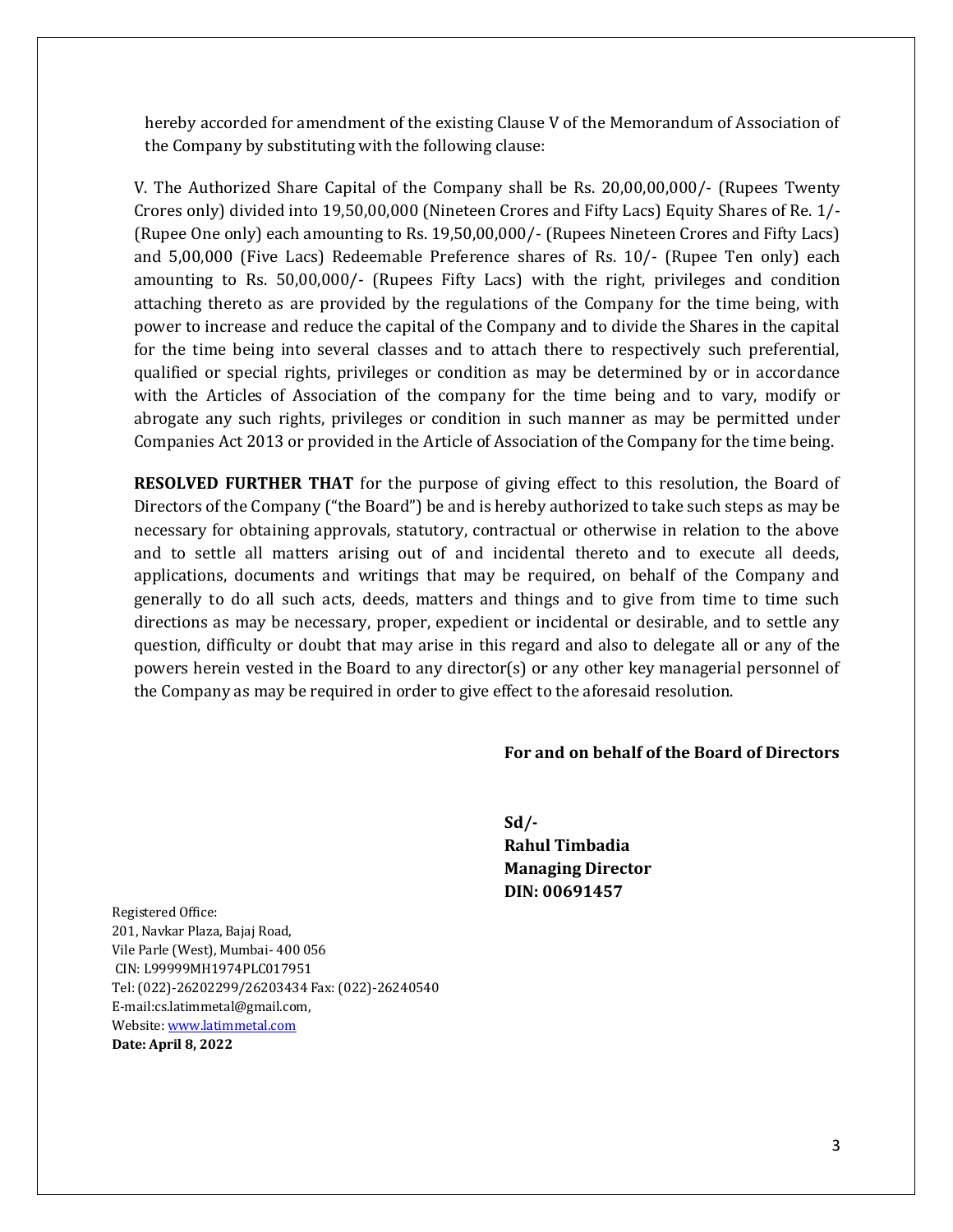hereby accorded for amendment of the existing Clause V of the Memorandum of Association of the Company by substituting with the following clause:

V. The Authorized Share Capital of the Company shall be Rs. 20,00,00,000/- (Rupees Twenty Crores only) divided into 19,50,00,000 (Nineteen Crores and Fifty Lacs) Equity Shares of Re. 1/- (Rupee One only) each amounting to Rs. 19,50,00,000/- (Rupees Nineteen Crores and Fifty Lacs) and 5,00,000 (Five Lacs) Redeemable Preference shares of Rs. 10/- (Rupee Ten only) each amounting to Rs. 50,00,000/- (Rupees Fifty Lacs) with the right, privileges and condition attaching thereto as are provided by the regulations of the Company for the time being, with power to increase and reduce the capital of the Company and to divide the Shares in the capital for the time being into several classes and to attach there to respectively such preferential, qualified or special rights, privileges or condition as may be determined by or in accordance with the Articles of Association of the company for the time being and to vary, modify or abrogate any such rights, privileges or condition in such manner as may be permitted under Companies Act 2013 or provided in the Article of Association of the Company for the time being.

**RESOLVED FURTHER THAT** for the purpose of giving effect to this resolution, the Board of Directors of the Company ("the Board") be and is hereby authorized to take such steps as may be necessary for obtaining approvals, statutory, contractual or otherwise in relation to the above and to settle all matters arising out of and incidental thereto and to execute all deeds, applications, documents and writings that may be required, on behalf of the Company and generally to do all such acts, deeds, matters and things and to give from time to time such directions as may be necessary, proper, expedient or incidental or desirable, and to settle any question, difficulty or doubt that may arise in this regard and also to delegate all or any of the powers herein vested in the Board to any director(s) or any other key managerial personnel of the Company as may be required in order to give effect to the aforesaid resolution.

#### **For and on behalf of the Board of Directors**

**Sd/- Rahul Timbadia Managing Director DIN: 00691457**

Registered Office: 201, Navkar Plaza, Bajaj Road, Vile Parle (West), Mumbai- 400 056 CIN: L99999MH1974PLC017951 Tel: (022)-26202299/26203434 Fax: (022)-26240540 E-mail:cs.latimmetal@gmail.com, Website[: www.latimmetal.com](http://www.latimmetal.com/) **Date: April 8, 2022**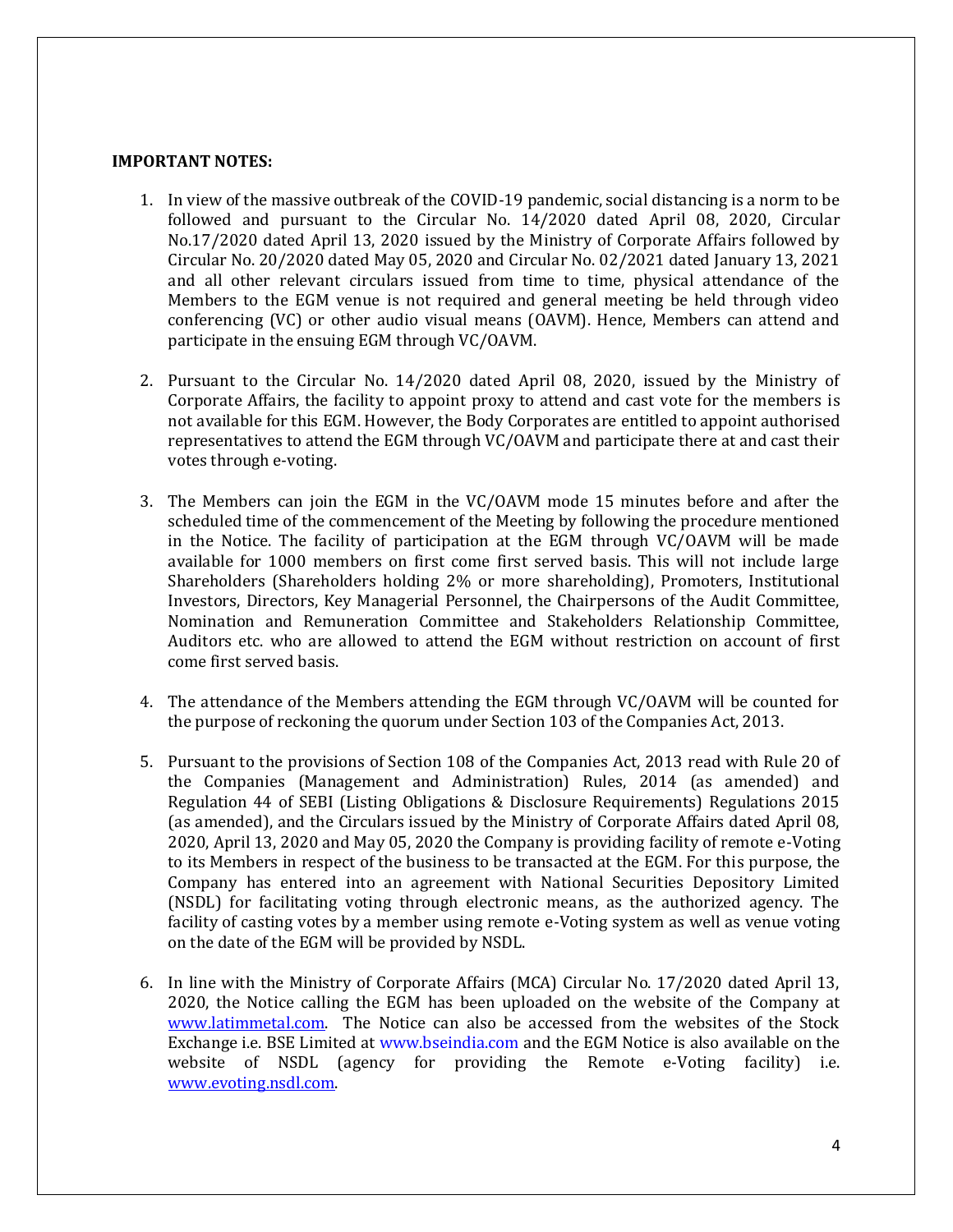#### **IMPORTANT NOTES:**

- 1. In view of the massive outbreak of the COVID-19 pandemic, social distancing is a norm to be followed and pursuant to the Circular No. 14/2020 dated April 08, 2020, Circular No.17/2020 dated April 13, 2020 issued by the Ministry of Corporate Affairs followed by Circular No. 20/2020 dated May 05, 2020 and Circular No. 02/2021 dated January 13, 2021 and all other relevant circulars issued from time to time, physical attendance of the Members to the EGM venue is not required and general meeting be held through video conferencing (VC) or other audio visual means (OAVM). Hence, Members can attend and participate in the ensuing EGM through VC/OAVM.
- 2. Pursuant to the Circular No. 14/2020 dated April 08, 2020, issued by the Ministry of Corporate Affairs, the facility to appoint proxy to attend and cast vote for the members is not available for this EGM. However, the Body Corporates are entitled to appoint authorised representatives to attend the EGM through VC/OAVM and participate there at and cast their votes through e-voting.
- 3. The Members can join the EGM in the VC/OAVM mode 15 minutes before and after the scheduled time of the commencement of the Meeting by following the procedure mentioned in the Notice. The facility of participation at the EGM through VC/OAVM will be made available for 1000 members on first come first served basis. This will not include large Shareholders (Shareholders holding 2% or more shareholding), Promoters, Institutional Investors, Directors, Key Managerial Personnel, the Chairpersons of the Audit Committee, Nomination and Remuneration Committee and Stakeholders Relationship Committee, Auditors etc. who are allowed to attend the EGM without restriction on account of first come first served basis.
- 4. The attendance of the Members attending the EGM through VC/OAVM will be counted for the purpose of reckoning the quorum under Section 103 of the Companies Act, 2013.
- 5. Pursuant to the provisions of Section 108 of the Companies Act, 2013 read with Rule 20 of the Companies (Management and Administration) Rules, 2014 (as amended) and Regulation 44 of SEBI (Listing Obligations & Disclosure Requirements) Regulations 2015 (as amended), and the Circulars issued by the Ministry of Corporate Affairs dated April 08, 2020, April 13, 2020 and May 05, 2020 the Company is providing facility of remote e-Voting to its Members in respect of the business to be transacted at the EGM. For this purpose, the Company has entered into an agreement with National Securities Depository Limited (NSDL) for facilitating voting through electronic means, as the authorized agency. The facility of casting votes by a member using remote e-Voting system as well as venue voting on the date of the EGM will be provided by NSDL.
- 6. In line with the Ministry of Corporate Affairs (MCA) Circular No. 17/2020 dated April 13, 2020, the Notice calling the EGM has been uploaded on the website of the Company at [www.latimmetal.com.](http://www.latimmetal.com/) The Notice can also be accessed from the websites of the Stock Exchange i.e. BSE Limited at www.bseindia.com and the EGM Notice is also available on the website of NSDL (agency for providing the Remote e-Voting facility) i.e. [www.evoting.nsdl.com.](http://www.evoting.nsdl.com/)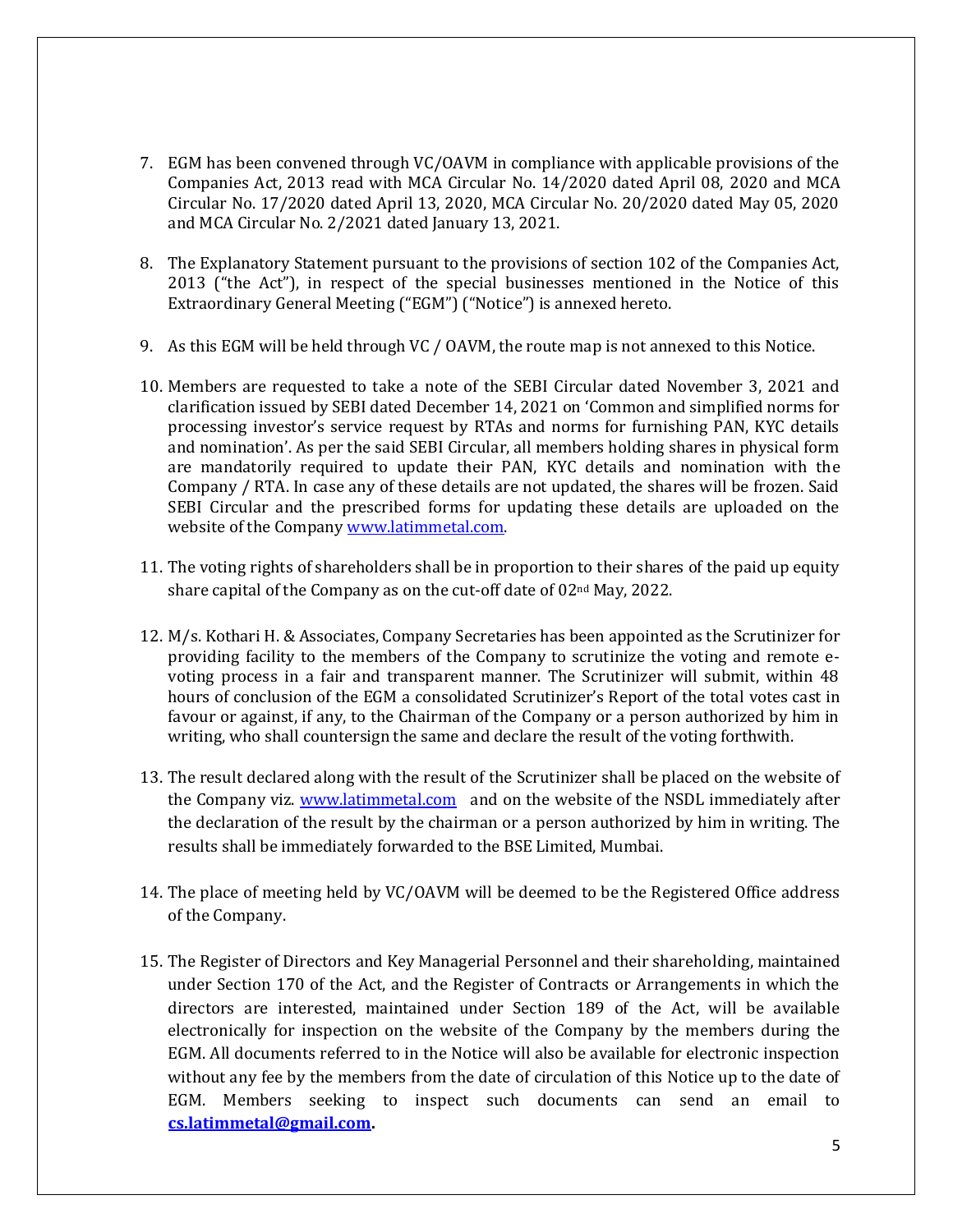- 7. EGM has been convened through VC/OAVM in compliance with applicable provisions of the Companies Act, 2013 read with MCA Circular No. 14/2020 dated April 08, 2020 and MCA Circular No. 17/2020 dated April 13, 2020, MCA Circular No. 20/2020 dated May 05, 2020 and MCA Circular No. 2/2021 dated January 13, 2021.
- 8. The Explanatory Statement pursuant to the provisions of section 102 of the Companies Act, 2013 ("the Act"), in respect of the special businesses mentioned in the Notice of this Extraordinary General Meeting ("EGM") ("Notice") is annexed hereto.
- 9. As this EGM will be held through VC / OAVM, the route map is not annexed to this Notice.
- 10. Members are requested to take a note of the SEBI Circular dated November 3, 2021 and clarification issued by SEBI dated December 14, 2021 on 'Common and simplified norms for processing investor's service request by RTAs and norms for furnishing PAN, KYC details and nomination'. As per the said SEBI Circular, all members holding shares in physical form are mandatorily required to update their PAN, KYC details and nomination with the Company / RTA. In case any of these details are not updated, the shares will be frozen. Said SEBI Circular and the prescribed forms for updating these details are uploaded on the website of the Company [www.latimmetal.com.](http://www.latimmetal.com/)
- 11. The voting rights of shareholders shall be in proportion to their shares of the paid up equity share capital of the Company as on the cut-off date of 02nd May, 2022.
- 12. M/s. Kothari H. & Associates, Company Secretaries has been appointed as the Scrutinizer for providing facility to the members of the Company to scrutinize the voting and remote evoting process in a fair and transparent manner. The Scrutinizer will submit, within 48 hours of conclusion of the EGM a consolidated Scrutinizer's Report of the total votes cast in favour or against, if any, to the Chairman of the Company or a person authorized by him in writing, who shall countersign the same and declare the result of the voting forthwith.
- 13. The result declared along with the result of the Scrutinizer shall be placed on the website of the Company viz. [www.latimmetal.com](http://www.latimmetal.com/) and on the website of the NSDL immediately after the declaration of the result by the chairman or a person authorized by him in writing. The results shall be immediately forwarded to the BSE Limited, Mumbai.
- 14. The place of meeting held by VC/OAVM will be deemed to be the Registered Office address of the Company.
- 15. The Register of Directors and Key Managerial Personnel and their shareholding, maintained under Section 170 of the Act, and the Register of Contracts or Arrangements in which the directors are interested, maintained under Section 189 of the Act, will be available electronically for inspection on the website of the Company by the members during the EGM. All documents referred to in the Notice will also be available for electronic inspection without any fee by the members from the date of circulation of this Notice up to the date of EGM. Members seeking to inspect such documents can send an email to **[cs.latimmetal@gmail.com.](mailto:cs.latimmetal@gmail.com)**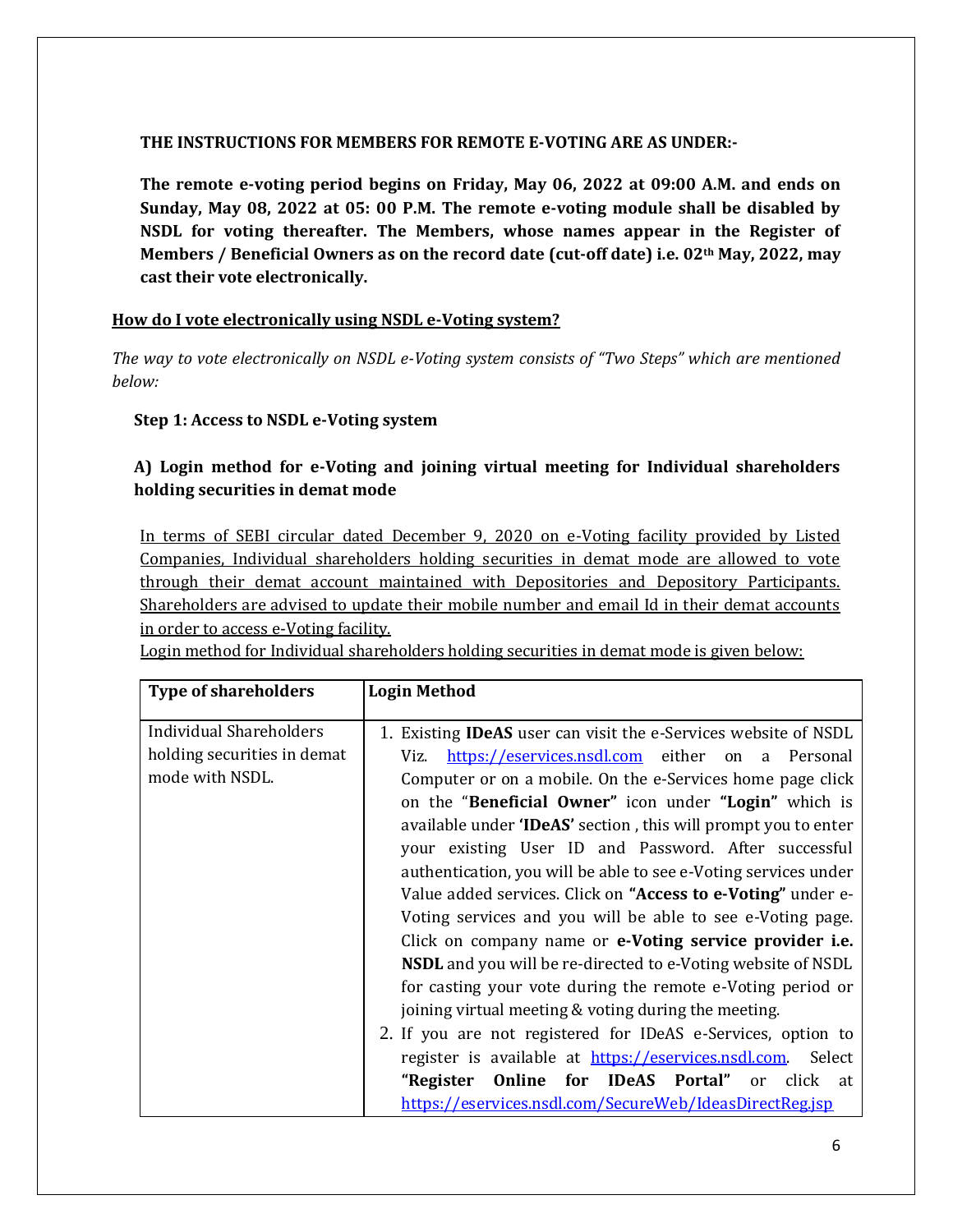#### **THE INSTRUCTIONS FOR MEMBERS FOR REMOTE E-VOTING ARE AS UNDER:-**

**The remote e-voting period begins on Friday, May 06, 2022 at 09:00 A.M. and ends on Sunday, May 08, 2022 at 05: 00 P.M. The remote e-voting module shall be disabled by NSDL for voting thereafter. The Members, whose names appear in the Register of Members / Beneficial Owners as on the record date (cut-off date) i.e. 02th May, 2022, may cast their vote electronically.**

#### **How do I vote electronically using NSDL e-Voting system?**

*The way to vote electronically on NSDL e-Voting system consists of "Two Steps" which are mentioned below:*

## **Step 1: Access to NSDL e-Voting system**

# **A) Login method for e-Voting and joining virtual meeting for Individual shareholders holding securities in demat mode**

In terms of SEBI circular dated December 9, 2020 on e-Voting facility provided by Listed Companies, Individual shareholders holding securities in demat mode are allowed to vote through their demat account maintained with Depositories and Depository Participants. Shareholders are advised to update their mobile number and email Id in their demat accounts in order to access e-Voting facility.

Login method for Individual shareholders holding securities in demat mode is given below:

| <b>Type of shareholders</b>                                                      | <b>Login Method</b>                                                                                                                                                                                                                                                                                                                                                                                                                                                                                                                                                                                                                                                                                                                                                                                                                                                                                                                                                                                                                                                                                        |
|----------------------------------------------------------------------------------|------------------------------------------------------------------------------------------------------------------------------------------------------------------------------------------------------------------------------------------------------------------------------------------------------------------------------------------------------------------------------------------------------------------------------------------------------------------------------------------------------------------------------------------------------------------------------------------------------------------------------------------------------------------------------------------------------------------------------------------------------------------------------------------------------------------------------------------------------------------------------------------------------------------------------------------------------------------------------------------------------------------------------------------------------------------------------------------------------------|
| <b>Individual Shareholders</b><br>holding securities in demat<br>mode with NSDL. | 1. Existing <b>IDeAS</b> user can visit the e-Services website of NSDL<br>https://eservices.nsdl.com either on a Personal<br>Viz.<br>Computer or on a mobile. On the e-Services home page click<br>on the "Beneficial Owner" icon under "Login" which is<br>available under <b>TDeAS'</b> section, this will prompt you to enter<br>your existing User ID and Password. After successful<br>authentication, you will be able to see e-Voting services under<br>Value added services. Click on "Access to e-Voting" under e-<br>Voting services and you will be able to see e-Voting page.<br>Click on company name or e-Voting service provider i.e.<br><b>NSDL</b> and you will be re-directed to e-Voting website of NSDL<br>for casting your vote during the remote e-Voting period or<br>joining virtual meeting & voting during the meeting.<br>2. If you are not registered for IDeAS e-Services, option to<br>register is available at https://eservices.nsdl.com. Select<br><b>Online for IDeAS Portal"</b> or click<br>"Register<br>at<br>https://eservices.nsdl.com/SecureWeb/IdeasDirectReg.jsp |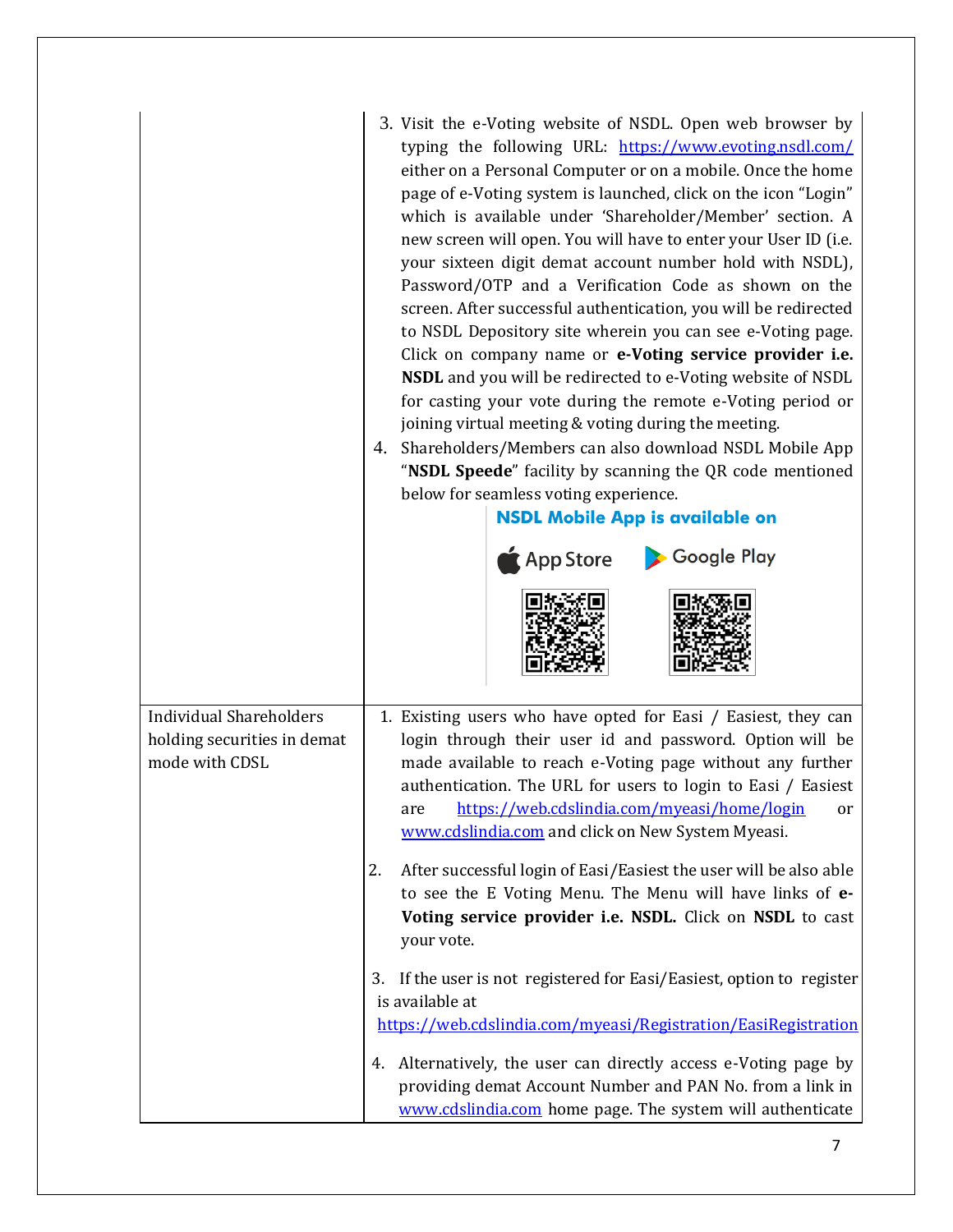|                                                                                 | 3. Visit the e-Voting website of NSDL. Open web browser by<br>typing the following URL: https://www.evoting.nsdl.com/<br>either on a Personal Computer or on a mobile. Once the home<br>page of e-Voting system is launched, click on the icon "Login"<br>which is available under 'Shareholder/Member' section. A<br>new screen will open. You will have to enter your User ID (i.e.<br>your sixteen digit demat account number hold with NSDL),<br>Password/OTP and a Verification Code as shown on the<br>screen. After successful authentication, you will be redirected<br>to NSDL Depository site wherein you can see e-Voting page.<br>Click on company name or e-Voting service provider i.e.<br><b>NSDL</b> and you will be redirected to e-Voting website of NSDL<br>for casting your vote during the remote e-Voting period or<br>joining virtual meeting & voting during the meeting.<br>4. Shareholders/Members can also download NSDL Mobile App<br>"NSDL Speede" facility by scanning the QR code mentioned<br>below for seamless voting experience.<br><b>NSDL Mobile App is available on</b><br>Google Play<br><b>App Store</b> |  |  |
|---------------------------------------------------------------------------------|--------------------------------------------------------------------------------------------------------------------------------------------------------------------------------------------------------------------------------------------------------------------------------------------------------------------------------------------------------------------------------------------------------------------------------------------------------------------------------------------------------------------------------------------------------------------------------------------------------------------------------------------------------------------------------------------------------------------------------------------------------------------------------------------------------------------------------------------------------------------------------------------------------------------------------------------------------------------------------------------------------------------------------------------------------------------------------------------------------------------------------------------------|--|--|
| <b>Individual Shareholders</b><br>holding securities in demat<br>mode with CDSL | 1. Existing users who have opted for Easi / Easiest, they can<br>login through their user id and password. Option will be                                                                                                                                                                                                                                                                                                                                                                                                                                                                                                                                                                                                                                                                                                                                                                                                                                                                                                                                                                                                                        |  |  |
|                                                                                 | made available to reach e-Voting page without any further<br>authentication. The URL for users to login to Easi / Easiest<br>https://web.cdslindia.com/myeasi/home/login                                                                                                                                                                                                                                                                                                                                                                                                                                                                                                                                                                                                                                                                                                                                                                                                                                                                                                                                                                         |  |  |
|                                                                                 | are<br>or<br>www.cdslindia.com and click on New System Myeasi.<br>After successful login of Easi/Easiest the user will be also able<br>2.<br>to see the E Voting Menu. The Menu will have links of e-<br>Voting service provider i.e. NSDL. Click on NSDL to cast<br>your vote.                                                                                                                                                                                                                                                                                                                                                                                                                                                                                                                                                                                                                                                                                                                                                                                                                                                                  |  |  |
|                                                                                 |                                                                                                                                                                                                                                                                                                                                                                                                                                                                                                                                                                                                                                                                                                                                                                                                                                                                                                                                                                                                                                                                                                                                                  |  |  |
|                                                                                 | 3. If the user is not registered for Easi/Easiest, option to register<br>is available at                                                                                                                                                                                                                                                                                                                                                                                                                                                                                                                                                                                                                                                                                                                                                                                                                                                                                                                                                                                                                                                         |  |  |
|                                                                                 | https://web.cdslindia.com/myeasi/Registration/EasiRegistration                                                                                                                                                                                                                                                                                                                                                                                                                                                                                                                                                                                                                                                                                                                                                                                                                                                                                                                                                                                                                                                                                   |  |  |
|                                                                                 | Alternatively, the user can directly access e-Voting page by<br>4.                                                                                                                                                                                                                                                                                                                                                                                                                                                                                                                                                                                                                                                                                                                                                                                                                                                                                                                                                                                                                                                                               |  |  |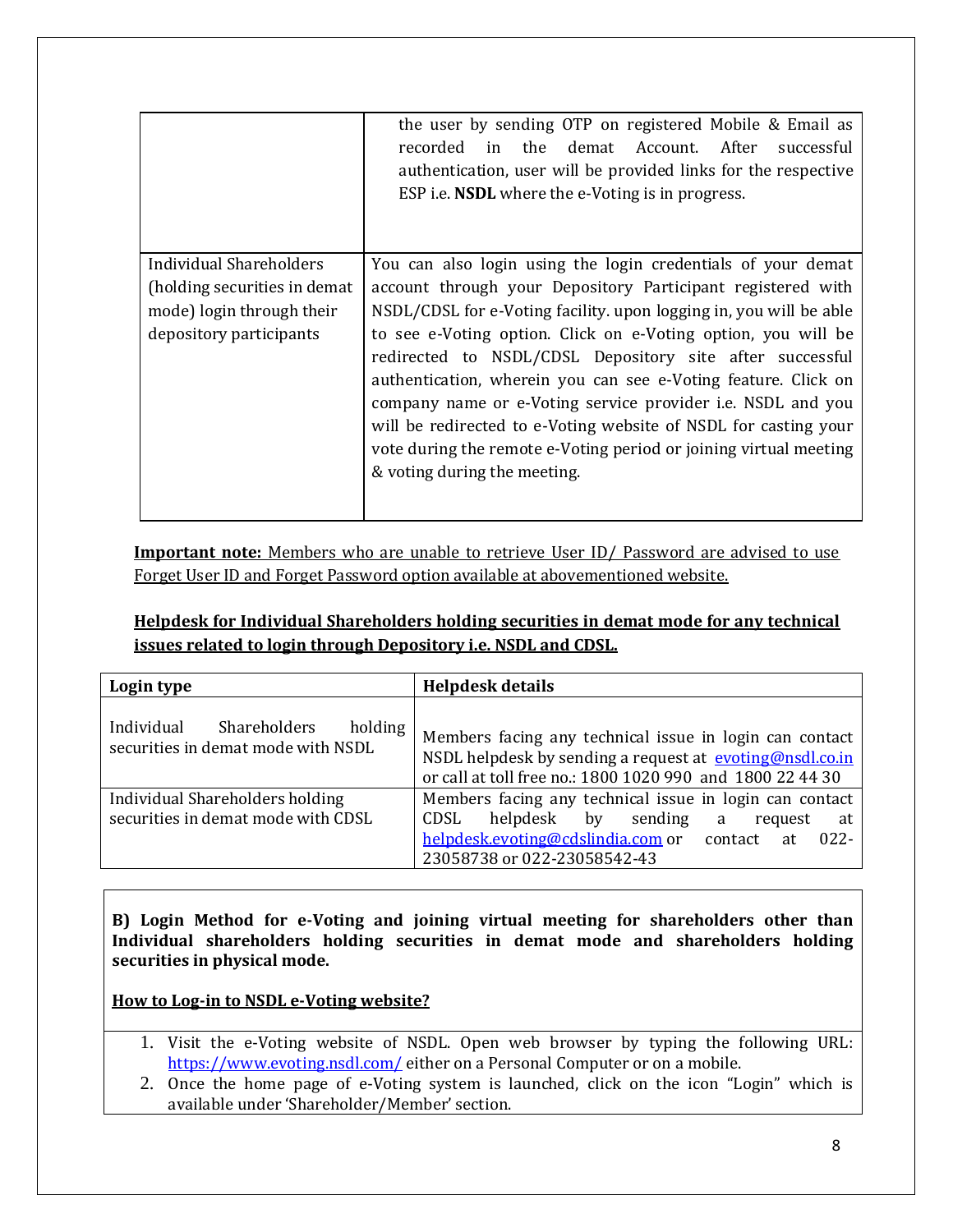|                                                                                                                  | the user by sending OTP on registered Mobile & Email as<br>recorded in the<br>demat Account. After<br>successful<br>authentication, user will be provided links for the respective<br>ESP <i>i.e.</i> <b>NSDL</b> where the e-Voting is in progress.                                                                                                                                                                                                                                                                                                                                                                                           |
|------------------------------------------------------------------------------------------------------------------|------------------------------------------------------------------------------------------------------------------------------------------------------------------------------------------------------------------------------------------------------------------------------------------------------------------------------------------------------------------------------------------------------------------------------------------------------------------------------------------------------------------------------------------------------------------------------------------------------------------------------------------------|
| Individual Shareholders<br>(holding securities in demat)<br>mode) login through their<br>depository participants | You can also login using the login credentials of your demat<br>account through your Depository Participant registered with<br>NSDL/CDSL for e-Voting facility. upon logging in, you will be able<br>to see e-Voting option. Click on e-Voting option, you will be<br>redirected to NSDL/CDSL Depository site after successful<br>authentication, wherein you can see e-Voting feature. Click on<br>company name or e-Voting service provider <i>i.e.</i> NSDL and you<br>will be redirected to e-Voting website of NSDL for casting your<br>vote during the remote e-Voting period or joining virtual meeting<br>& voting during the meeting. |

**Important note:** Members who are unable to retrieve User ID/ Password are advised to use Forget User ID and Forget Password option available at abovementioned website.

# **Helpdesk for Individual Shareholders holding securities in demat mode for any technical issues related to login through Depository i.e. NSDL and CDSL.**

| Login type                                                                         | <b>Helpdesk details</b>                                                                                                                                                                                   |
|------------------------------------------------------------------------------------|-----------------------------------------------------------------------------------------------------------------------------------------------------------------------------------------------------------|
| holding<br>Individual<br><b>Shareholders</b><br>securities in demat mode with NSDL | Members facing any technical issue in login can contact<br>NSDL helpdesk by sending a request at evoting@nsdl.co.in<br>or call at toll free no.: 1800 1020 990 and 1800 22 44 30                          |
| Individual Shareholders holding<br>securities in demat mode with CDSL              | Members facing any technical issue in login can contact<br>helpdesk by<br>sending<br>CDSL<br>a<br>request<br>at<br>helpdesk.evoting@cdslindia.com or contact at<br>$022 -$<br>23058738 or 022-23058542-43 |

**B) Login Method for e-Voting and joining virtual meeting for shareholders other than Individual shareholders holding securities in demat mode and shareholders holding securities in physical mode.**

**How to Log-in to NSDL e-Voting website?**

- 1. Visit the e-Voting website of NSDL. Open web browser by typing the following URL: <https://www.evoting.nsdl.com/> either on a Personal Computer or on a mobile.
- 2. Once the home page of e-Voting system is launched, click on the icon "Login" which is available under 'Shareholder/Member' section.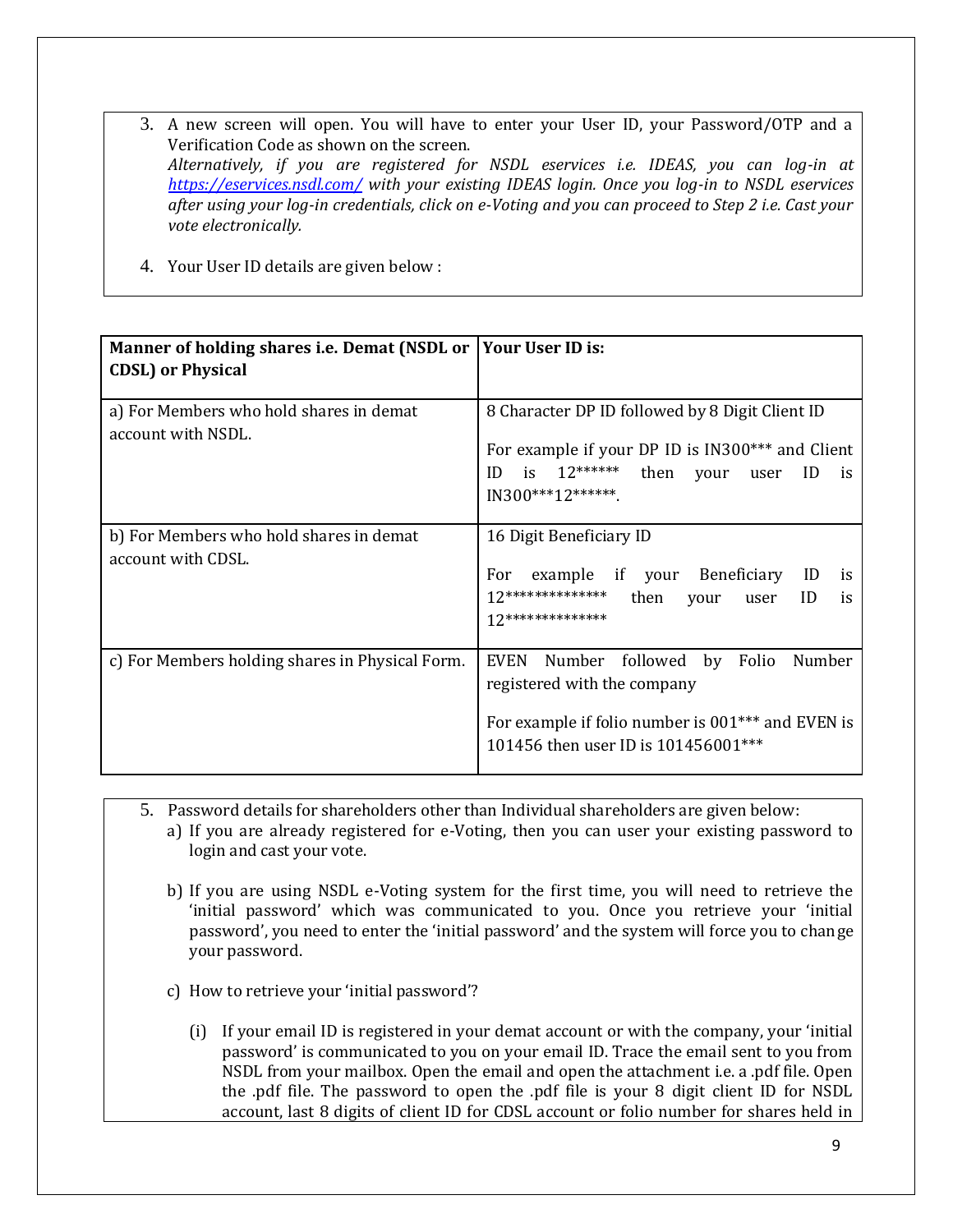- 3. A new screen will open. You will have to enter your User ID, your Password/OTP and a Verification Code as shown on the screen. *Alternatively, if you are registered for NSDL eservices i.e. IDEAS, you can log-in at <https://eservices.nsdl.com/> with your existing IDEAS login. Once you log-in to NSDL eservices after using your log-in credentials, click on e-Voting and you can proceed to Step 2 i.e. Cast your vote electronically.*
- 4. Your User ID details are given below :

| Manner of holding shares i.e. Demat (NSDL or Your User ID is: |                                                                                                                                                                                   |
|---------------------------------------------------------------|-----------------------------------------------------------------------------------------------------------------------------------------------------------------------------------|
| <b>CDSL</b> ) or Physical                                     |                                                                                                                                                                                   |
| a) For Members who hold shares in demat<br>account with NSDL. | 8 Character DP ID followed by 8 Digit Client ID<br>For example if your DP ID is IN300*** and Client<br>is $12******$ then<br>ID<br>ID<br>your user<br>is<br>IN300***12*******.    |
| b) For Members who hold shares in demat<br>account with CDSL. | 16 Digit Beneficiary ID<br>example if your Beneficiary ID<br>For<br>is<br>$12*******************$<br>then<br>ID<br>your user<br>is<br>$12*********************$                   |
| c) For Members holding shares in Physical Form.               | Number followed by Folio<br>Number<br>EVEN<br>registered with the company<br>For example if folio number is 001 <sup>***</sup> and EVEN is<br>101456 then user ID is 101456001*** |

- 5. Password details for shareholders other than Individual shareholders are given below:
	- a) If you are already registered for e-Voting, then you can user your existing password to login and cast your vote.
	- b) If you are using NSDL e-Voting system for the first time, you will need to retrieve the 'initial password' which was communicated to you. Once you retrieve your 'initial password', you need to enter the 'initial password' and the system will force you to change your password.
	- c) How to retrieve your 'initial password'?
		- (i) If your email ID is registered in your demat account or with the company, your 'initial password' is communicated to you on your email ID. Trace the email sent to you from NSDL from your mailbox. Open the email and open the attachment i.e. a .pdf file. Open the .pdf file. The password to open the .pdf file is your 8 digit client ID for NSDL account, last 8 digits of client ID for CDSL account or folio number for shares held in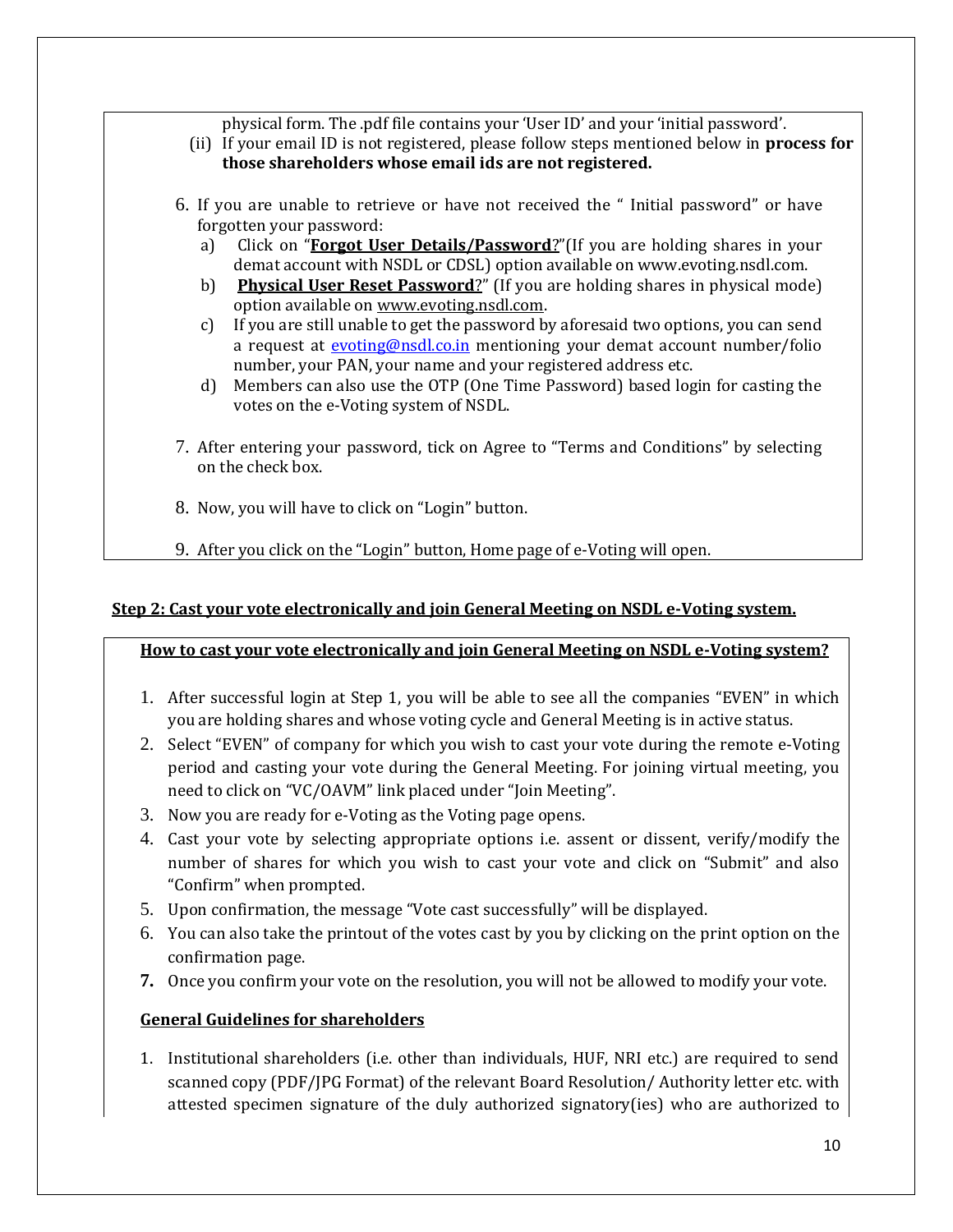physical form. The .pdf file contains your 'User ID' and your 'initial password'.

- (ii) If your email ID is not registered, please follow steps mentioned below in **process for those shareholders whose email ids are not registered.**
- 6. If you are unable to retrieve or have not received the " Initial password" or have forgotten your password:
	- a) Click on "**[Forgot User Details/Password](https://www.evoting.nsdl.com/eVotingWeb/commonhtmls/NewUser.jsp)**?"(If you are holding shares in your demat account with NSDL or CDSL) option available on www.evoting.nsdl.com.
	- b) **[Physical User Reset Password](https://www.evoting.nsdl.com/eVotingWeb/commonhtmls/PhysicalUser.jsp)**?" (If you are holding shares in physical mode) option available on [www.evoting.nsdl.com.](http://www.evoting.nsdl.com/)
	- c) If you are still unable to get the password by aforesaid two options, you can send a request at [evoting@nsdl.co.in](mailto:evoting@nsdl.co.in) mentioning your demat account number/folio number, your PAN, your name and your registered address etc.
	- d) Members can also use the OTP (One Time Password) based login for casting the votes on the e-Voting system of NSDL.
- 7. After entering your password, tick on Agree to "Terms and Conditions" by selecting on the check box.
- 8. Now, you will have to click on "Login" button.
- 9. After you click on the "Login" button, Home page of e-Voting will open.

## **Step 2: Cast your vote electronically and join General Meeting on NSDL e-Voting system.**

## **How to cast your vote electronically and join General Meeting on NSDL e-Voting system?**

- 1. After successful login at Step 1, you will be able to see all the companies "EVEN" in which you are holding shares and whose voting cycle and General Meeting is in active status.
- 2. Select "EVEN" of company for which you wish to cast your vote during the remote e-Voting period and casting your vote during the General Meeting. For joining virtual meeting, you need to click on "VC/OAVM" link placed under "Join Meeting".
- 3. Now you are ready for e-Voting as the Voting page opens.
- 4. Cast your vote by selecting appropriate options i.e. assent or dissent, verify/modify the number of shares for which you wish to cast your vote and click on "Submit" and also "Confirm" when prompted.
- 5. Upon confirmation, the message "Vote cast successfully" will be displayed.
- 6. You can also take the printout of the votes cast by you by clicking on the print option on the confirmation page.
- **7.** Once you confirm your vote on the resolution, you will not be allowed to modify your vote.

## **General Guidelines for shareholders**

1. Institutional shareholders (i.e. other than individuals, HUF, NRI etc.) are required to send scanned copy (PDF/JPG Format) of the relevant Board Resolution/ Authority letter etc. with attested specimen signature of the duly authorized signatory(ies) who are authorized to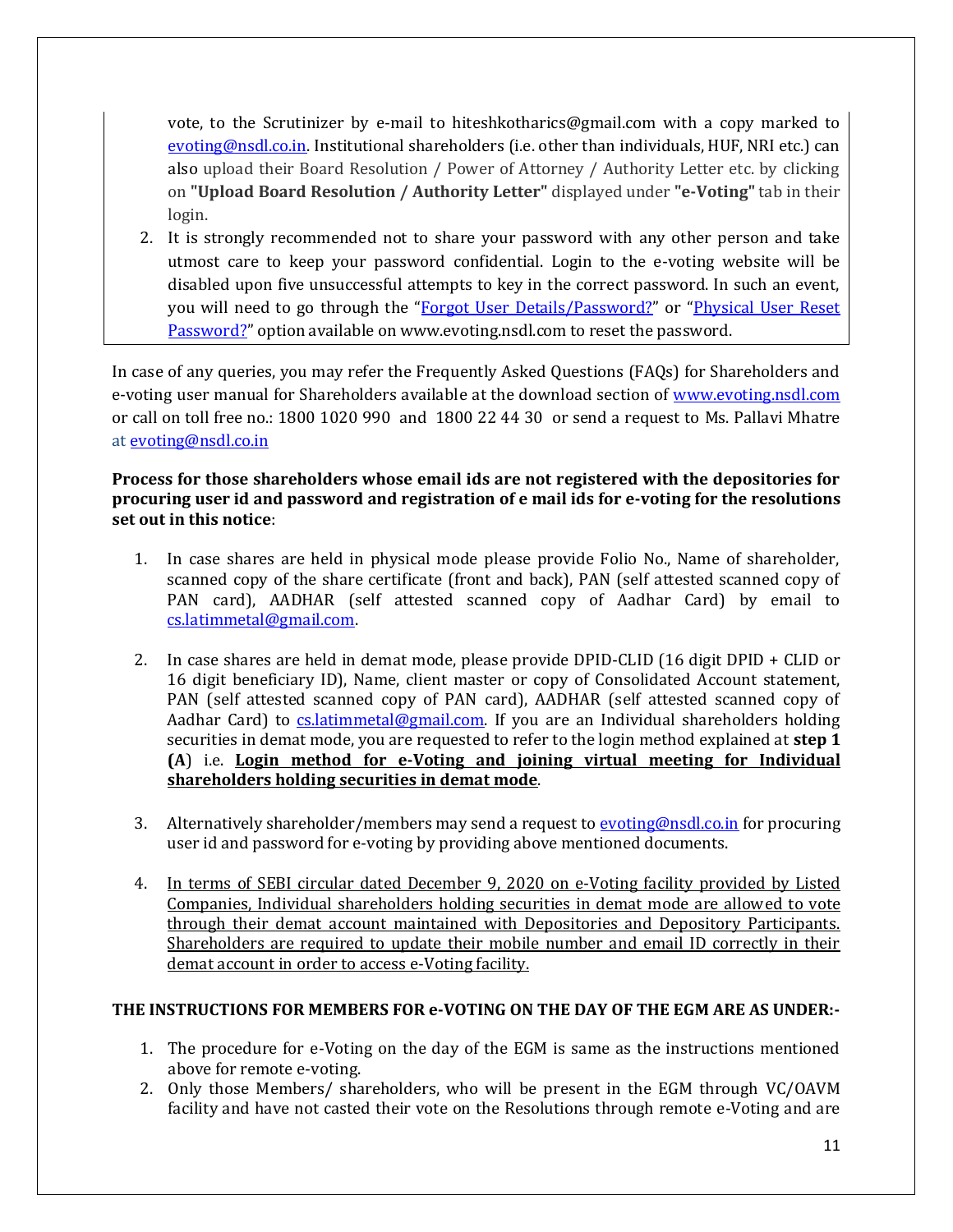vote, to the Scrutinizer by e-mail to hiteshkotharics@gmail.com with a copy marked to [evoting@nsdl.co.in.](mailto:evoting@nsdl.co.in) Institutional shareholders (i.e. other than individuals, HUF, NRI etc.) can also upload their Board Resolution / Power of Attorney / Authority Letter etc. by clicking on **"Upload Board Resolution / Authority Letter"** displayed under **"e-Voting"** tab in their login.

2. It is strongly recommended not to share your password with any other person and take utmost care to keep your password confidential. Login to the e-voting website will be disabled upon five unsuccessful attempts to key in the correct password. In such an event, you will need to go through the "[Forgot User Details/Password?](https://www.evoting.nsdl.com/eVotingWeb/commonhtmls/NewUser.jsp)" or "[Physical User Reset](https://www.evoting.nsdl.com/eVotingWeb/commonhtmls/PhysicalUser.jsp) [Password?](https://www.evoting.nsdl.com/eVotingWeb/commonhtmls/PhysicalUser.jsp)" option available on www.evoting.nsdl.com to reset the password.

In case of any queries, you may refer the Frequently Asked Questions (FAQs) for Shareholders and e-voting user manual for Shareholders available at the download section of [www.evoting.nsdl.com](http://www.evoting.nsdl.com/) or call on toll free no.: 1800 1020 990 and 1800 22 44 30 or send a request to Ms. Pallavi Mhatre a[t evoting@nsdl.co.in](mailto:evoting@nsdl.co.in)

## **Process for those shareholders whose email ids are not registered with the depositories for procuring user id and password and registration of e mail ids for e-voting for the resolutions set out in this notice**:

- 1. In case shares are held in physical mode please provide Folio No., Name of shareholder, scanned copy of the share certificate (front and back), PAN (self attested scanned copy of PAN card), AADHAR (self attested scanned copy of Aadhar Card) by email to [cs.latimmetal@gmail.com.](mailto:cs.latimmetal@gmail.com)
- 2. In case shares are held in demat mode, please provide DPID-CLID (16 digit DPID + CLID or 16 digit beneficiary ID), Name, client master or copy of Consolidated Account statement, PAN (self attested scanned copy of PAN card), AADHAR (self attested scanned copy of Aadhar Card) to [cs.latimmetal@gmail.com.](mailto:cs.latimmetal@gmail.com) If you are an Individual shareholders holding securities in demat mode, you are requested to refer to the login method explained at **step 1 (A**) i.e. **Login method for e-Voting and joining virtual meeting for Individual shareholders holding securities in demat mode**.
- 3. Alternatively shareholder/members may send a request t[o evoting@nsdl.co.in](mailto:evoting@nsdl.co.in) for procuring user id and password for e-voting by providing above mentioned documents.
- 4. In terms of SEBI circular dated December 9, 2020 on e-Voting facility provided by Listed Companies, Individual shareholders holding securities in demat mode are allowed to vote through their demat account maintained with Depositories and Depository Participants. Shareholders are required to update their mobile number and email ID correctly in their demat account in order to access e-Voting facility.

# **THE INSTRUCTIONS FOR MEMBERS FOR e-VOTING ON THE DAY OF THE EGM ARE AS UNDER:-**

- 1. The procedure for e-Voting on the day of the EGM is same as the instructions mentioned above for remote e-voting.
- 2. Only those Members/ shareholders, who will be present in the EGM through VC/OAVM facility and have not casted their vote on the Resolutions through remote e-Voting and are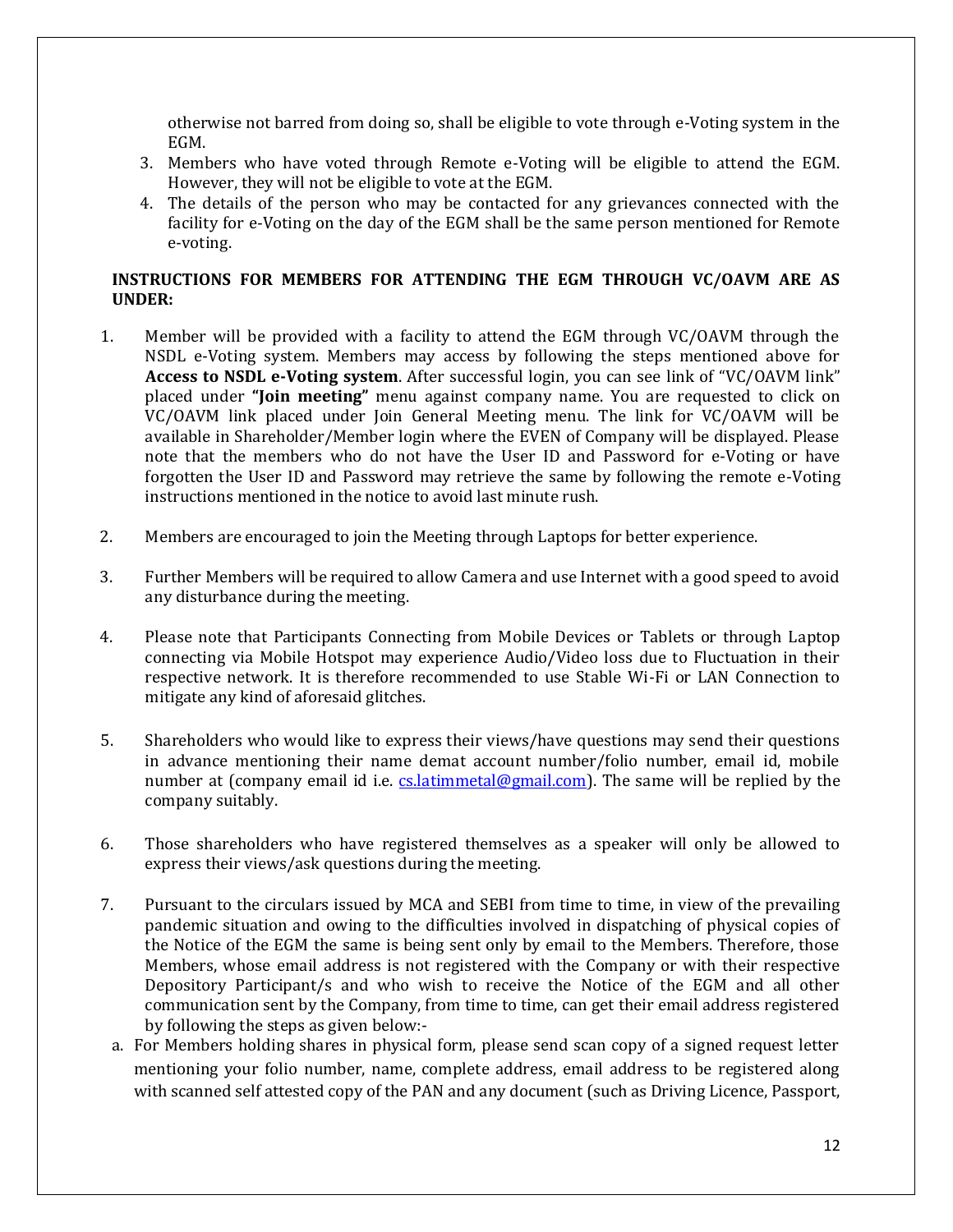otherwise not barred from doing so, shall be eligible to vote through e-Voting system in the EGM.

- 3. Members who have voted through Remote e-Voting will be eligible to attend the EGM. However, they will not be eligible to vote at the EGM.
- 4. The details of the person who may be contacted for any grievances connected with the facility for e-Voting on the day of the EGM shall be the same person mentioned for Remote e-voting.

#### **INSTRUCTIONS FOR MEMBERS FOR ATTENDING THE EGM THROUGH VC/OAVM ARE AS UNDER:**

- 1. Member will be provided with a facility to attend the EGM through VC/OAVM through the NSDL e-Voting system. Members may access by following the steps mentioned above for **Access to NSDL e-Voting system**. After successful login, you can see link of "VC/OAVM link" placed under **"Join meeting"** menu against company name. You are requested to click on VC/OAVM link placed under Join General Meeting menu. The link for VC/OAVM will be available in Shareholder/Member login where the EVEN of Company will be displayed. Please note that the members who do not have the User ID and Password for e-Voting or have forgotten the User ID and Password may retrieve the same by following the remote e-Voting instructions mentioned in the notice to avoid last minute rush.
- 2. Members are encouraged to join the Meeting through Laptops for better experience.
- 3. Further Members will be required to allow Camera and use Internet with a good speed to avoid any disturbance during the meeting.
- 4. Please note that Participants Connecting from Mobile Devices or Tablets or through Laptop connecting via Mobile Hotspot may experience Audio/Video loss due to Fluctuation in their respective network. It is therefore recommended to use Stable Wi-Fi or LAN Connection to mitigate any kind of aforesaid glitches.
- 5. Shareholders who would like to express their views/have questions may send their questions in advance mentioning their name demat account number/folio number, email id, mobile number at (company email id i.e. cs. latimmetal@gmail.com). The same will be replied by the company suitably.
- 6. Those shareholders who have registered themselves as a speaker will only be allowed to express their views/ask questions during the meeting.
- 7. Pursuant to the circulars issued by MCA and SEBI from time to time, in view of the prevailing pandemic situation and owing to the difficulties involved in dispatching of physical copies of the Notice of the EGM the same is being sent only by email to the Members. Therefore, those Members, whose email address is not registered with the Company or with their respective Depository Participant/s and who wish to receive the Notice of the EGM and all other communication sent by the Company, from time to time, can get their email address registered by following the steps as given below:
	- a. For Members holding shares in physical form, please send scan copy of a signed request letter mentioning your folio number, name, complete address, email address to be registered along with scanned self attested copy of the PAN and any document (such as Driving Licence, Passport,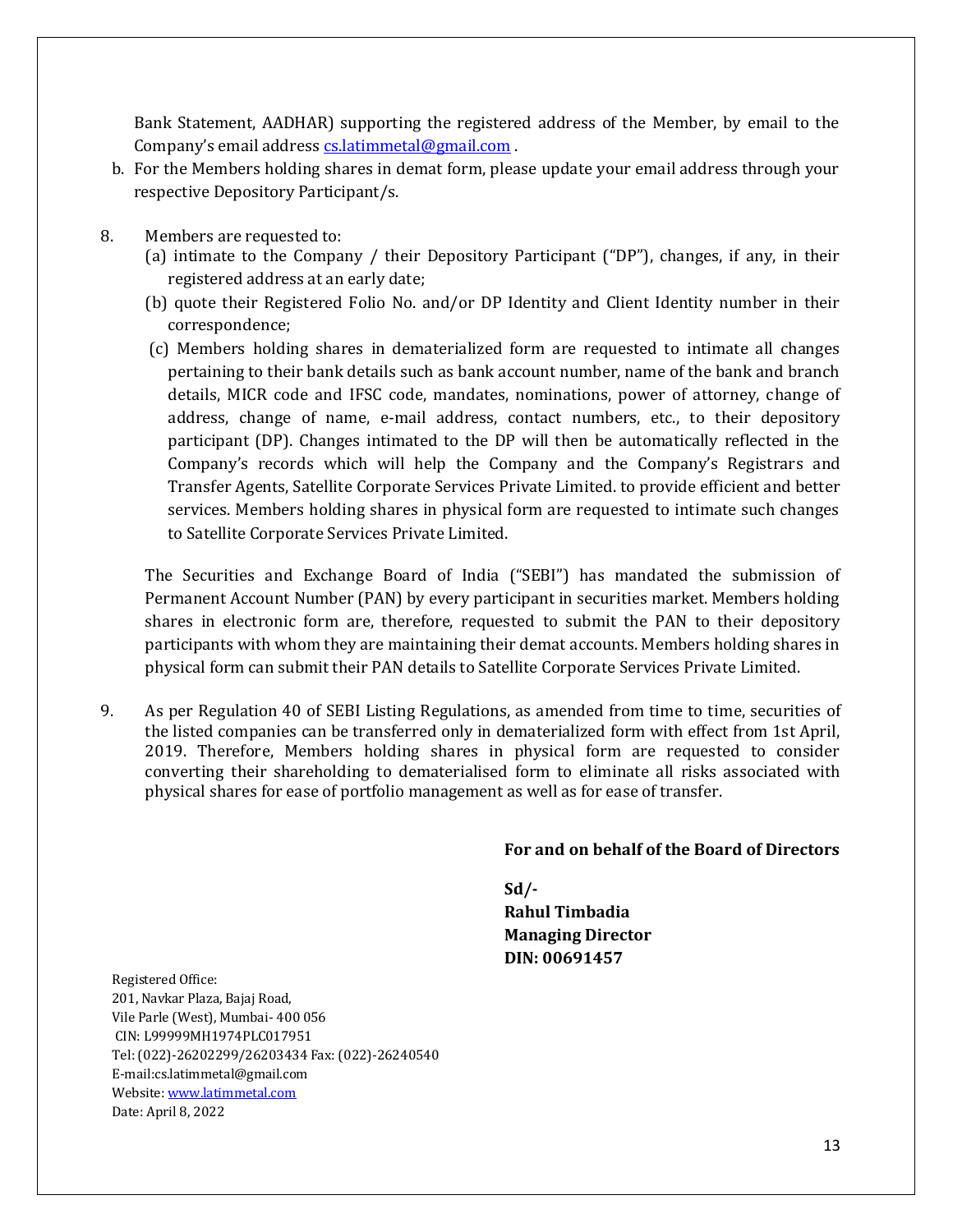Bank Statement, AADHAR) supporting the registered address of the Member, by email to the Company's email address [cs.latimmetal@gmail.com](mailto:cs.latimmetal@gmail.com).

- b. For the Members holding shares in demat form, please update your email address through your respective Depository Participant/s.
- 8. Members are requested to:
	- (a) intimate to the Company / their Depository Participant ("DP"), changes, if any, in their registered address at an early date;
	- (b) quote their Registered Folio No. and/or DP Identity and Client Identity number in their correspondence;
	- (c) Members holding shares in dematerialized form are requested to intimate all changes pertaining to their bank details such as bank account number, name of the bank and branch details, MICR code and IFSC code, mandates, nominations, power of attorney, change of address, change of name, e-mail address, contact numbers, etc., to their depository participant (DP). Changes intimated to the DP will then be automatically reflected in the Company's records which will help the Company and the Company's Registrars and Transfer Agents, Satellite Corporate Services Private Limited. to provide efficient and better services. Members holding shares in physical form are requested to intimate such changes to Satellite Corporate Services Private Limited.

The Securities and Exchange Board of India ("SEBI") has mandated the submission of Permanent Account Number (PAN) by every participant in securities market. Members holding shares in electronic form are, therefore, requested to submit the PAN to their depository participants with whom they are maintaining their demat accounts. Members holding shares in physical form can submit their PAN details to Satellite Corporate Services Private Limited.

9. As per Regulation 40 of SEBI Listing Regulations, as amended from time to time, securities of the listed companies can be transferred only in dematerialized form with effect from 1st April, 2019. Therefore, Members holding shares in physical form are requested to consider converting their shareholding to dematerialised form to eliminate all risks associated with physical shares for ease of portfolio management as well as for ease of transfer.

#### **For and on behalf of the Board of Directors**

**Sd/-**

**Rahul Timbadia Managing Director DIN: 00691457**

Registered Office: 201, Navkar Plaza, Bajaj Road, Vile Parle (West), Mumbai- 400 056 CIN: L99999MH1974PLC017951 Tel: (022)-26202299/26203434 Fax: (022)-26240540 E-mail:cs.latimmetal@gmail.com Website[: www.latimmetal.com](http://www.latimmetal.com/) Date: April 8, 2022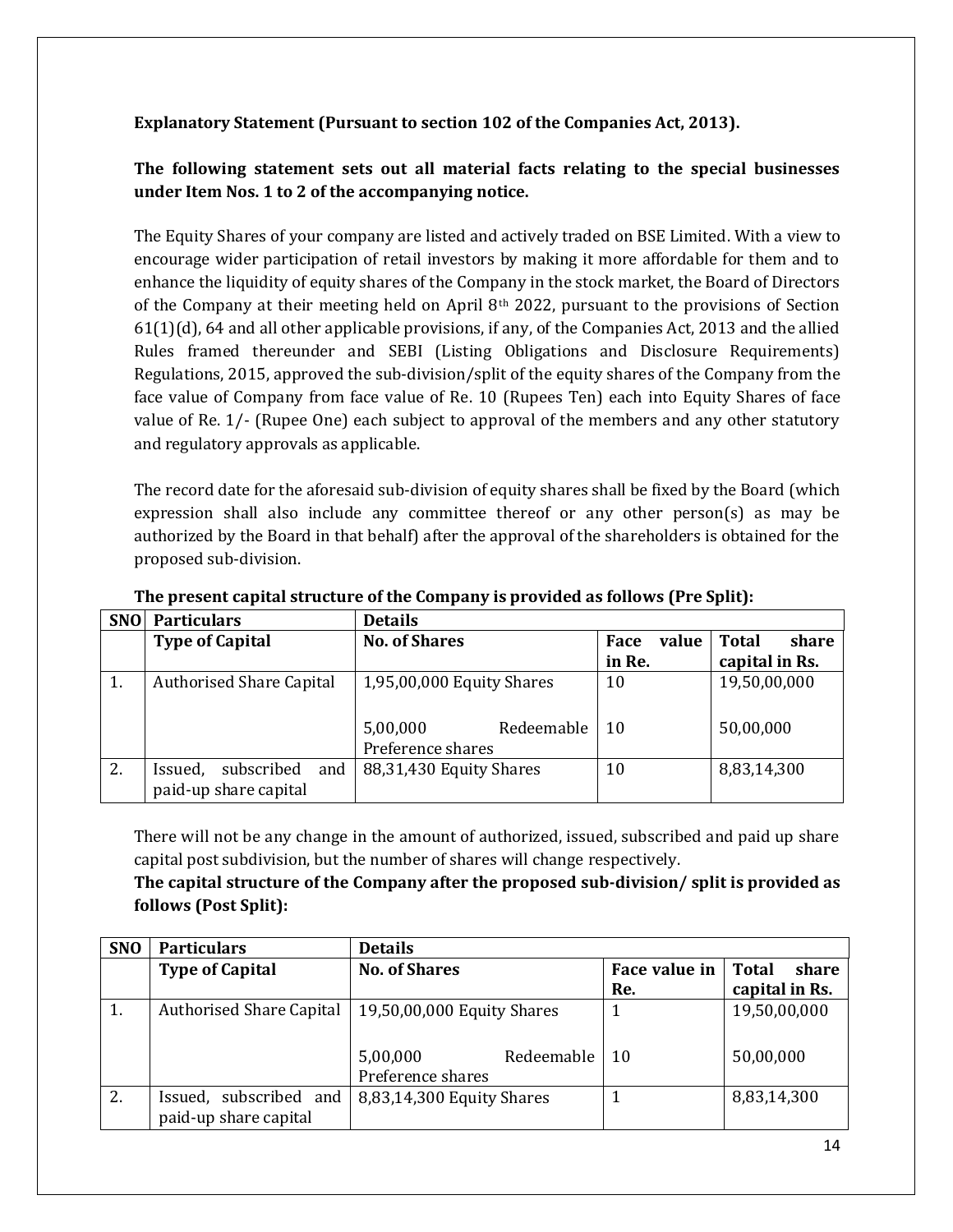## **Explanatory Statement (Pursuant to section 102 of the Companies Act, 2013).**

# **The following statement sets out all material facts relating to the special businesses under Item Nos. 1 to 2 of the accompanying notice.**

The Equity Shares of your company are listed and actively traded on BSE Limited. With a view to encourage wider participation of retail investors by making it more affordable for them and to enhance the liquidity of equity shares of the Company in the stock market, the Board of Directors of the Company at their meeting held on April  $8<sup>th</sup>$  2022, pursuant to the provisions of Section 61(1)(d), 64 and all other applicable provisions, if any, of the Companies Act, 2013 and the allied Rules framed thereunder and SEBI (Listing Obligations and Disclosure Requirements) Regulations, 2015, approved the sub-division/split of the equity shares of the Company from the face value of Company from face value of Re. 10 (Rupees Ten) each into Equity Shares of face value of Re. 1/- (Rupee One) each subject to approval of the members and any other statutory and regulatory approvals as applicable.

The record date for the aforesaid sub-division of equity shares shall be fixed by the Board (which expression shall also include any committee thereof or any other person(s) as may be authorized by the Board in that behalf) after the approval of the shareholders is obtained for the proposed sub-division.

| <b>SNO</b> | <b>Particulars</b>                                    | <b>Details</b>                              |               |                       |
|------------|-------------------------------------------------------|---------------------------------------------|---------------|-----------------------|
|            | <b>Type of Capital</b>                                | <b>No. of Shares</b>                        | value<br>Face | <b>Total</b><br>share |
|            |                                                       |                                             | in Re.        | capital in Rs.        |
| 1.         | <b>Authorised Share Capital</b>                       | 1,95,00,000 Equity Shares                   | 10            | 19,50,00,000          |
|            |                                                       | 5,00,000<br>Redeemable<br>Preference shares | 10            | 50,00,000             |
| 2.         | and<br>subscribed<br>Issued,<br>paid-up share capital | 88,31,430 Equity Shares                     | 10            | 8,83,14,300           |

**The present capital structure of the Company is provided as follows (Pre Split):**

There will not be any change in the amount of authorized, issued, subscribed and paid up share capital post subdivision, but the number of shares will change respectively.

# **The capital structure of the Company after the proposed sub-division/ split is provided as follows (Post Split):**

| <b>SNO</b> | <b>Particulars</b>                              | <b>Details</b>                              |               |                |
|------------|-------------------------------------------------|---------------------------------------------|---------------|----------------|
|            | <b>Type of Capital</b>                          | <b>No. of Shares</b>                        | Face value in | share<br>Total |
|            |                                                 |                                             | Re.           | capital in Rs. |
| 1.         | <b>Authorised Share Capital</b>                 | 19,50,00,000 Equity Shares                  |               | 19,50,00,000   |
|            |                                                 | Redeemable<br>5,00,000<br>Preference shares | <sup>10</sup> | 50,00,000      |
| 2.         | Issued, subscribed and<br>paid-up share capital | 8,83,14,300 Equity Shares                   |               | 8,83,14,300    |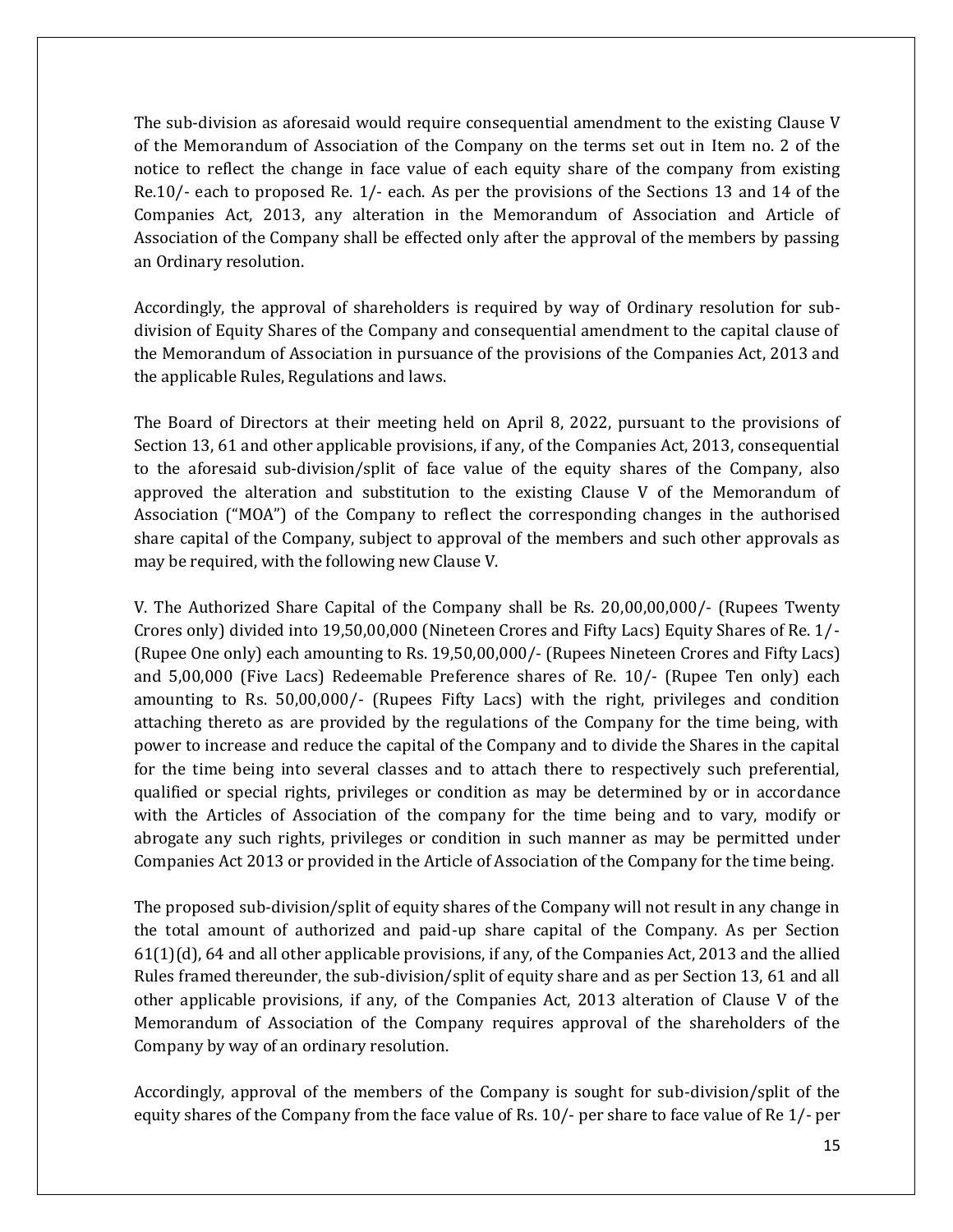The sub-division as aforesaid would require consequential amendment to the existing Clause V of the Memorandum of Association of the Company on the terms set out in Item no. 2 of the notice to reflect the change in face value of each equity share of the company from existing Re.10/- each to proposed Re. 1/- each. As per the provisions of the Sections 13 and 14 of the Companies Act, 2013, any alteration in the Memorandum of Association and Article of Association of the Company shall be effected only after the approval of the members by passing an Ordinary resolution.

Accordingly, the approval of shareholders is required by way of Ordinary resolution for subdivision of Equity Shares of the Company and consequential amendment to the capital clause of the Memorandum of Association in pursuance of the provisions of the Companies Act, 2013 and the applicable Rules, Regulations and laws.

The Board of Directors at their meeting held on April 8, 2022, pursuant to the provisions of Section 13, 61 and other applicable provisions, if any, of the Companies Act, 2013, consequential to the aforesaid sub-division/split of face value of the equity shares of the Company, also approved the alteration and substitution to the existing Clause V of the Memorandum of Association ("MOA") of the Company to reflect the corresponding changes in the authorised share capital of the Company, subject to approval of the members and such other approvals as may be required, with the following new Clause V.

V. The Authorized Share Capital of the Company shall be Rs. 20,00,00,000/- (Rupees Twenty Crores only) divided into 19,50,00,000 (Nineteen Crores and Fifty Lacs) Equity Shares of Re. 1/- (Rupee One only) each amounting to Rs. 19,50,00,000/- (Rupees Nineteen Crores and Fifty Lacs) and 5,00,000 (Five Lacs) Redeemable Preference shares of Re. 10/- (Rupee Ten only) each amounting to Rs. 50,00,000/- (Rupees Fifty Lacs) with the right, privileges and condition attaching thereto as are provided by the regulations of the Company for the time being, with power to increase and reduce the capital of the Company and to divide the Shares in the capital for the time being into several classes and to attach there to respectively such preferential, qualified or special rights, privileges or condition as may be determined by or in accordance with the Articles of Association of the company for the time being and to vary, modify or abrogate any such rights, privileges or condition in such manner as may be permitted under Companies Act 2013 or provided in the Article of Association of the Company for the time being.

The proposed sub-division/split of equity shares of the Company will not result in any change in the total amount of authorized and paid-up share capital of the Company. As per Section 61(1)(d), 64 and all other applicable provisions, if any, of the Companies Act, 2013 and the allied Rules framed thereunder, the sub-division/split of equity share and as per Section 13, 61 and all other applicable provisions, if any, of the Companies Act, 2013 alteration of Clause V of the Memorandum of Association of the Company requires approval of the shareholders of the Company by way of an ordinary resolution.

Accordingly, approval of the members of the Company is sought for sub-division/split of the equity shares of the Company from the face value of Rs. 10/- per share to face value of Re 1/- per